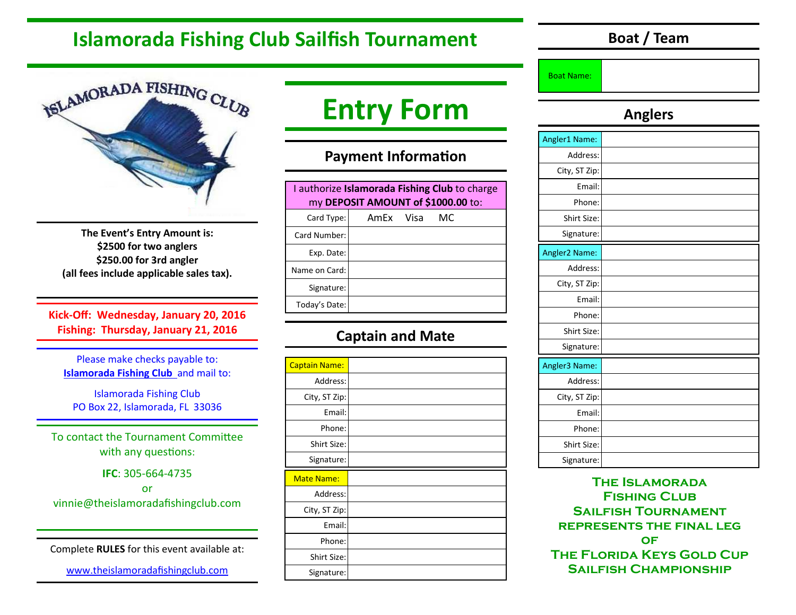# **Islamorada Fishing Club Sailfish Tournament**

**Boat / Team** 



**The Event's Entry Amount is: \$2500 for two anglers \$250.00 for 3rd angler (all fees include applicable sales tax).** 

**Kick-Off: Wednesday, January 20, 2016 Fishing: Thursday, January 21, 2016** 

Please make checks payable to: **Islamorada Fishing Club** and mail to:

Islamorada Fishing Club PO Box 22, Islamorada, FL 33036

To contact the Tournament Committee with any questions:

**IFC**: 305-664-4735

or vinnie@theislamoradafishingclub.com

Complete **RULES** for this event available at:

www.theislamoradafishingclub.com

# **Entry Form**

### **Payment Information**

| I authorize Islamorada Fishing Club to charge<br>my DEPOSIT AMOUNT of \$1000.00 to: |  |           |  |  |
|-------------------------------------------------------------------------------------|--|-----------|--|--|
| Card Type:                                                                          |  | МC        |  |  |
| Card Number:                                                                        |  |           |  |  |
| Exp. Date:                                                                          |  |           |  |  |
| Name on Card:                                                                       |  |           |  |  |
| Signature:                                                                          |  |           |  |  |
| Today's Date:                                                                       |  |           |  |  |
|                                                                                     |  | AmEx Visa |  |  |

### **Captain and Mate**

| <b>Captain Name:</b> |  |
|----------------------|--|
| Address:             |  |
| City, ST Zip:        |  |
| Email:               |  |
| Phone:               |  |
| Shirt Size:          |  |
| Signature:           |  |
|                      |  |
| <b>Mate Name:</b>    |  |
| Address:             |  |
| City, ST Zip:        |  |
| Email:               |  |
| Phone:               |  |
| Shirt Size:          |  |

#### Boat Name:

### **Anglers**

| Angler1 Name: |  |
|---------------|--|
| Address:      |  |
| City, ST Zip: |  |
| Email:        |  |
| Phone:        |  |
| Shirt Size:   |  |
| Signature:    |  |
| Angler2 Name: |  |
| Address:      |  |
| City, ST Zip: |  |
| Email:        |  |
| Phone:        |  |
| Shirt Size:   |  |
| Signature:    |  |
| Angler3 Name: |  |
| Address:      |  |
| City, ST Zip: |  |
| Email:        |  |
| Phone:        |  |
| Shirt Size:   |  |
| Signature:    |  |

**The Islamorada Fishing Club Sailfish Tournament represents the final leg of The Florida Keys Gold Cup Sailfish Championship**